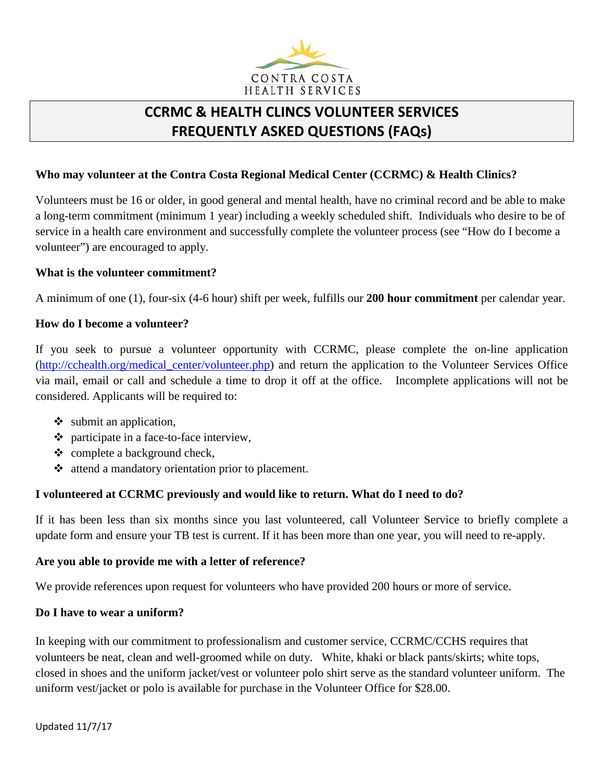

# **CCRMC & HEALTH CLINCS VOLUNTEER SERVICES FREQUENTLY ASKED QUESTIONS (FAQs)**

## **Who may volunteer at the Contra Costa Regional Medical Center (CCRMC) & Health Clinics?**

Volunteers must be 16 or older, in good general and mental health, have no criminal record and be able to make a long-term commitment (minimum 1 year) including a weekly scheduled shift. Individuals who desire to be of service in a health care environment and successfully complete the volunteer process (see "How do I become a volunteer") are encouraged to apply.

#### **What is the volunteer commitment?**

A minimum of one (1), four-six (4-6 hour) shift per week, fulfills our **200 hour commitment** per calendar year.

#### **How do I become a volunteer?**

If you seek to pursue a volunteer opportunity with CCRMC, please complete the on-line application [\(http://cchealth.org/medical\\_center/volunteer.php\)](http://cchealth.org/medical_center/volunteer.php) and return the application to the Volunteer Services Office via mail, email or call and schedule a time to drop it off at the office. Incomplete applications will not be considered. Applicants will be required to:

- $\bullet$  submit an application,
- participate in a face-to-face interview,
- $\triangleleft$  complete a background check,
- $\triangleleft$  attend a mandatory orientation prior to placement.

## **I volunteered at CCRMC previously and would like to return. What do I need to do?**

If it has been less than six months since you last volunteered, call Volunteer Service to briefly complete a update form and ensure your TB test is current. If it has been more than one year, you will need to re-apply.

#### **Are you able to provide me with a letter of reference?**

We provide references upon request for volunteers who have provided 200 hours or more of service.

#### **Do I have to wear a uniform?**

In keeping with our commitment to professionalism and customer service, CCRMC/CCHS requires that volunteers be neat, clean and well-groomed while on duty. White, khaki or black pants/skirts; white tops, closed in shoes and the uniform jacket/vest or volunteer polo shirt serve as the standard volunteer uniform. The uniform vest/jacket or polo is available for purchase in the Volunteer Office for \$28.00.